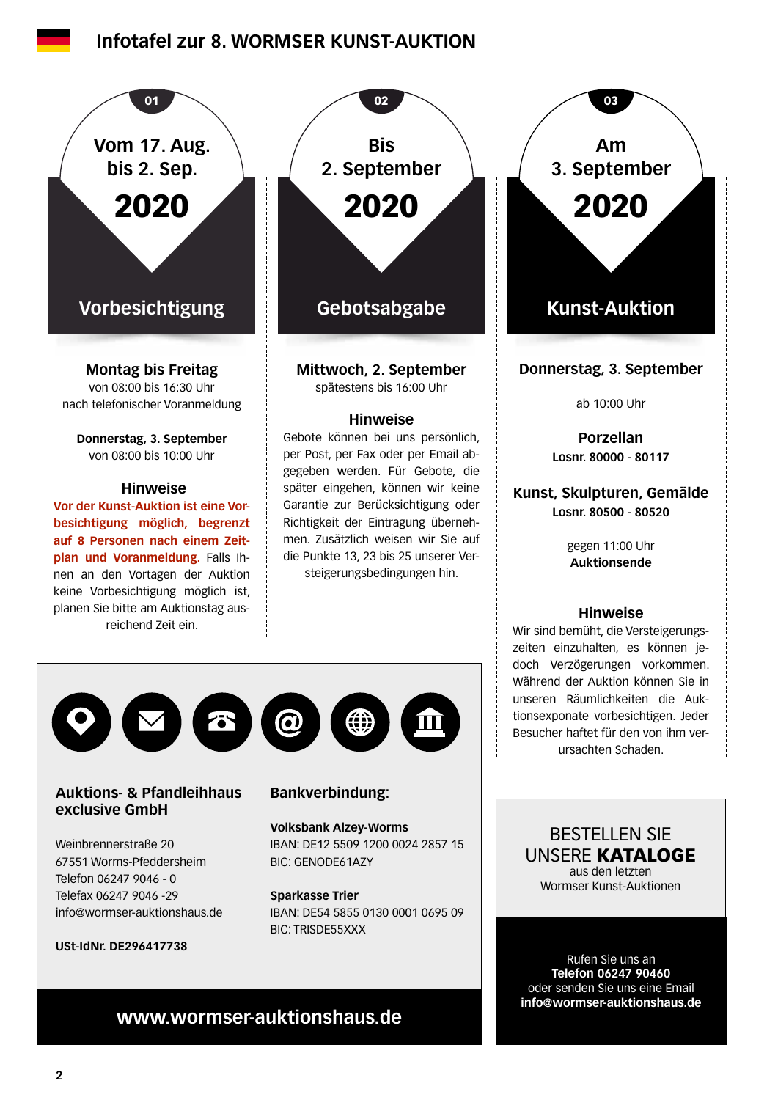### **Infotafel zur 8. WORMSER KUNST-AUKTION**



### **Auktions- & Pfandleihhaus exclusive GmbH**

Weinbrennerstraße 20 67551 Worms-Pfeddersheim Telefon 06247 9046 - 0 Telefax 06247 9046 -29 info@wormser-auktionshaus.de

**USt-IdNr. DE296417738**

### **Bankverbindung:**

**Volksbank Alzey-Worms** IBAN: DE12 5509 1200 0024 2857 15 BIC: GENODE61AZY

**Sparkasse Trier** IBAN: DE54 5855 0130 0001 0695 09 BIC: TRISDE55XXX

### BESTELLEN SIE UNSERE KATALOGE aus den letzten Wormser Kunst-Auktionen

Rufen Sie uns an **Telefon 06247 90460** oder senden Sie uns eine Email **info@wormser-auktionshaus.de**

# **www.wormser-auktionshaus.de**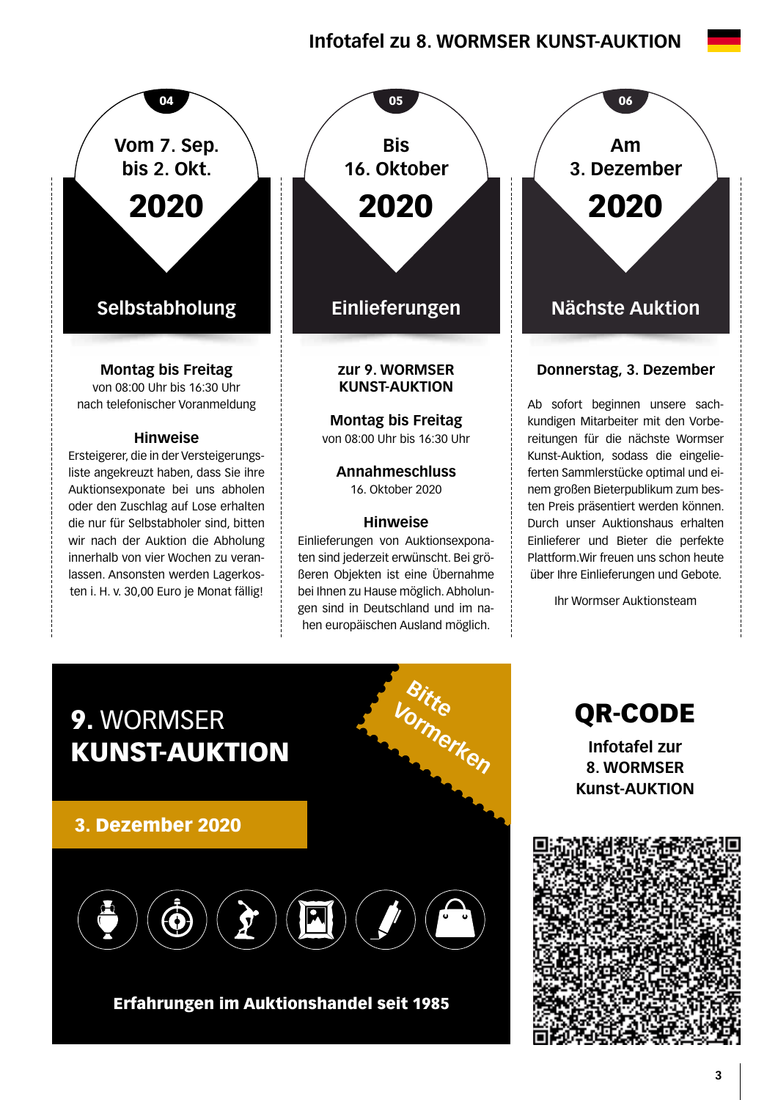# **Infotafel zu 8. WORMSER KUNST-AUKTION**



lassen. Ansonsten werden Lagerkosten i. H. v. 30,00 Euro je Monat fällig!



**Annahmeschluss**  16. Oktober 2020

#### **Hinweise**

Einlieferungen von Auktionsexponaten sind jederzeit erwünscht. Bei größeren Objekten ist eine Übernahme bei Ihnen zu Hause möglich. Abholungen sind in Deutschland und im nahen europäischen Ausland möglich.

**Am 3. Dezember** 2020

### **Donnerstag, 3. Dezember**

Ab sofort beginnen unsere sachkundigen Mitarbeiter mit den Vorbereitungen für die nächste Wormser Kunst-Auktion, sodass die eingelieferten Sammlerstücke optimal und einem großen Bieterpublikum zum besten Preis präsentiert werden können. Durch unser Auktionshaus erhalten Einlieferer und Bieter die perfekte Plattform.Wir freuen uns schon heute über Ihre Einlieferungen und Gebote.

Ihr Wormser Auktionsteam



Erfahrungen im Auktionshandel seit 1985

QR-CODE **Infotafel zur 8. WORMSER Kunst-AUKTION**

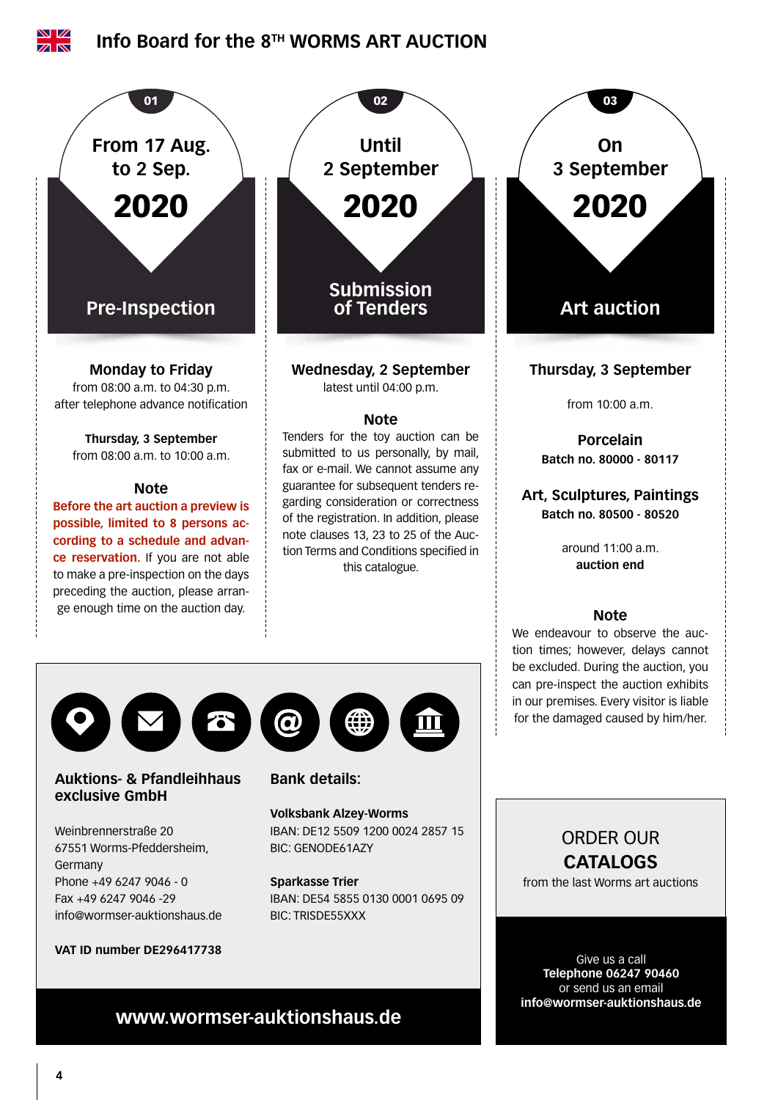

Weinbrennerstraße 20 67551 Worms-Pfeddersheim, Germany Phone +49 6247 9046 - 0 Fax +49 6247 9046 -29 info@wormser-auktionshaus.de

**VAT ID number DE296417738**

# IBAN: DE12 5509 1200 0024 2857 15 BIC: GENODE61AZY

#### **Sparkasse Trier**

IBAN: DE54 5855 0130 0001 0695 09 BIC: TRISDE55XXX

# ORDER OUR **CATALOGS**

from the last Worms art auctions

Give us a call **Telephone 06247 90460** or send us an email **info@wormser-auktionshaus.de**

# **www.wormser-auktionshaus.de**